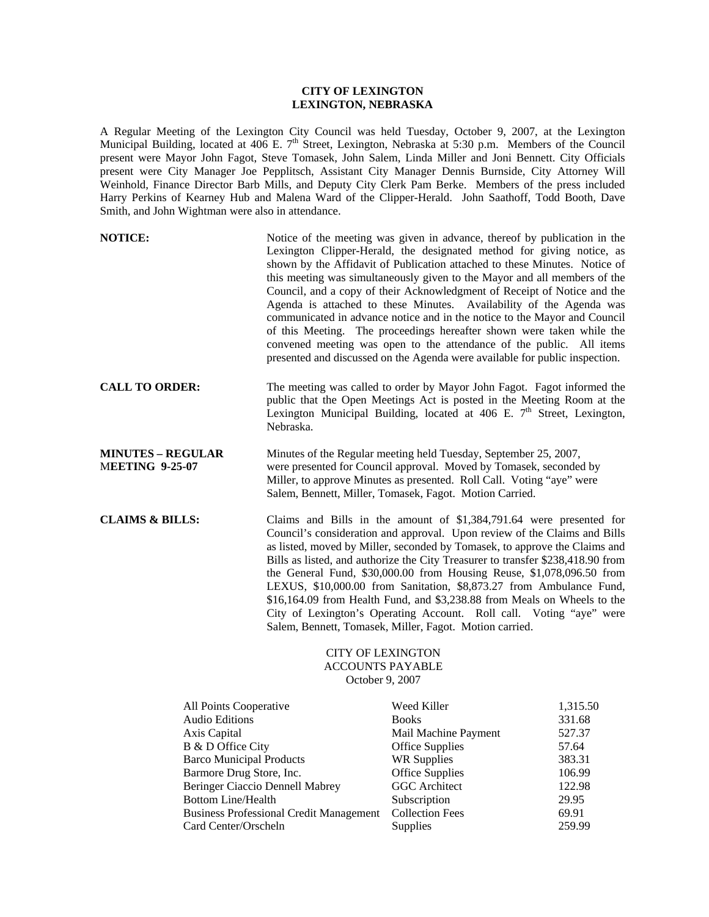## **CITY OF LEXINGTON LEXINGTON, NEBRASKA**

A Regular Meeting of the Lexington City Council was held Tuesday, October 9, 2007, at the Lexington Municipal Building, located at 406 E. 7<sup>th</sup> Street, Lexington, Nebraska at 5:30 p.m. Members of the Council present were Mayor John Fagot, Steve Tomasek, John Salem, Linda Miller and Joni Bennett. City Officials present were City Manager Joe Pepplitsch, Assistant City Manager Dennis Burnside, City Attorney Will Weinhold, Finance Director Barb Mills, and Deputy City Clerk Pam Berke. Members of the press included Harry Perkins of Kearney Hub and Malena Ward of the Clipper-Herald. John Saathoff, Todd Booth, Dave Smith, and John Wightman were also in attendance.

| <b>NOTICE:</b>                                                                                                   |           | Notice of the meeting was given in advance, thereof by publication in the<br>Lexington Clipper-Herald, the designated method for giving notice, as<br>shown by the Affidavit of Publication attached to these Minutes. Notice of<br>this meeting was simultaneously given to the Mayor and all members of the<br>Council, and a copy of their Acknowledgment of Receipt of Notice and the<br>Agenda is attached to these Minutes. Availability of the Agenda was<br>communicated in advance notice and in the notice to the Mayor and Council<br>of this Meeting. The proceedings hereafter shown were taken while the<br>convened meeting was open to the attendance of the public. All items<br>presented and discussed on the Agenda were available for public inspection. |                                                 |
|------------------------------------------------------------------------------------------------------------------|-----------|-------------------------------------------------------------------------------------------------------------------------------------------------------------------------------------------------------------------------------------------------------------------------------------------------------------------------------------------------------------------------------------------------------------------------------------------------------------------------------------------------------------------------------------------------------------------------------------------------------------------------------------------------------------------------------------------------------------------------------------------------------------------------------|-------------------------------------------------|
| <b>CALL TO ORDER:</b>                                                                                            | Nebraska. | The meeting was called to order by Mayor John Fagot. Fagot informed the<br>public that the Open Meetings Act is posted in the Meeting Room at the<br>Lexington Municipal Building, located at 406 E. 7 <sup>th</sup> Street, Lexington,                                                                                                                                                                                                                                                                                                                                                                                                                                                                                                                                       |                                                 |
| <b>MINUTES - REGULAR</b><br><b>MEETING 9-25-07</b>                                                               |           | Minutes of the Regular meeting held Tuesday, September 25, 2007,<br>were presented for Council approval. Moved by Tomasek, seconded by<br>Miller, to approve Minutes as presented. Roll Call. Voting "aye" were<br>Salem, Bennett, Miller, Tomasek, Fagot. Motion Carried.                                                                                                                                                                                                                                                                                                                                                                                                                                                                                                    |                                                 |
| <b>CLAIMS &amp; BILLS:</b>                                                                                       |           | Claims and Bills in the amount of \$1,384,791.64 were presented for<br>Council's consideration and approval. Upon review of the Claims and Bills<br>as listed, moved by Miller, seconded by Tomasek, to approve the Claims and<br>Bills as listed, and authorize the City Treasurer to transfer \$238,418.90 from<br>the General Fund, \$30,000.00 from Housing Reuse, \$1,078,096.50 from<br>LEXUS, \$10,000.00 from Sanitation, \$8,873.27 from Ambulance Fund,<br>\$16,164.09 from Health Fund, and \$3,238.88 from Meals on Wheels to the<br>City of Lexington's Operating Account. Roll call. Voting "aye" were<br>Salem, Bennett, Tomasek, Miller, Fagot. Motion carried.                                                                                               |                                                 |
|                                                                                                                  |           | <b>CITY OF LEXINGTON</b><br><b>ACCOUNTS PAYABLE</b><br>October 9, 2007                                                                                                                                                                                                                                                                                                                                                                                                                                                                                                                                                                                                                                                                                                        |                                                 |
| All Points Cooperative<br><b>Audio Editions</b><br>Axis Capital<br>B & D Office City<br>Barco Municipal Products |           | Weed Killer<br><b>Books</b><br>Mail Machine Payment<br><b>Office Supplies</b><br><b>WR Supplies</b>                                                                                                                                                                                                                                                                                                                                                                                                                                                                                                                                                                                                                                                                           | 1,315.50<br>331.68<br>527.37<br>57.64<br>383.31 |

| дліз Сарнаі                                    | <b>IVIAII IVIAUIIIIU I AVIIIUII</b> | ا ت    |
|------------------------------------------------|-------------------------------------|--------|
| B & D Office City                              | <b>Office Supplies</b>              | 57.64  |
| <b>Barco Municipal Products</b>                | WR Supplies                         | 383.31 |
| Barmore Drug Store, Inc.                       | <b>Office Supplies</b>              | 106.99 |
| Beringer Ciaccio Dennell Mabrey                | <b>GGC</b> Architect                | 122.98 |
| <b>Bottom Line/Health</b>                      | Subscription                        | 29.95  |
| <b>Business Professional Credit Management</b> | <b>Collection Fees</b>              | 69.91  |
| Card Center/Orscheln                           | <b>Supplies</b>                     | 259.99 |
|                                                |                                     |        |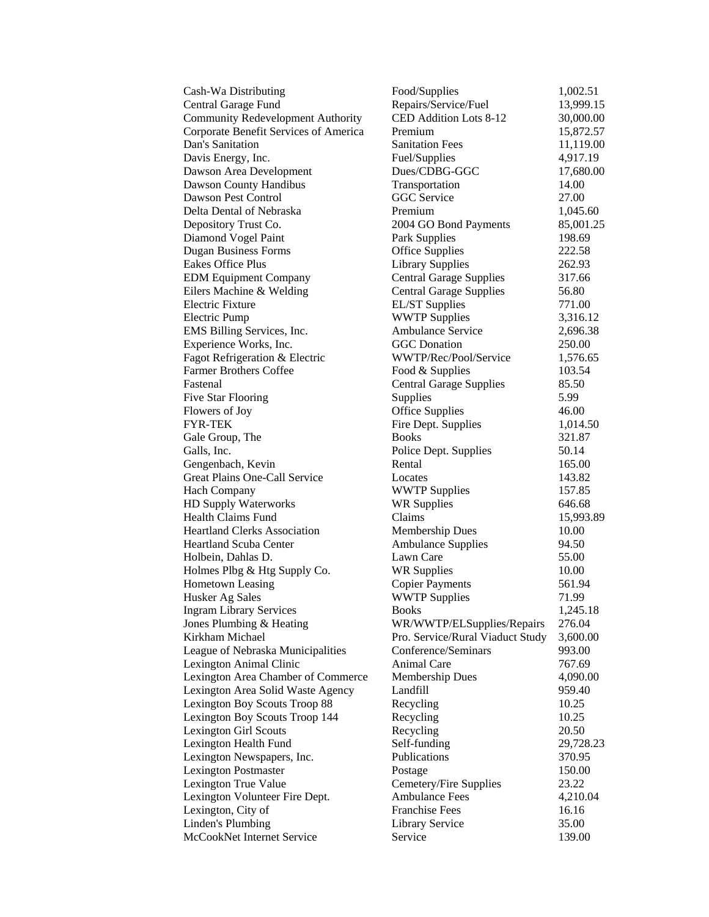| Cash-Wa Distributing                  | Food/Supplies                    | 1,002.51  |
|---------------------------------------|----------------------------------|-----------|
| Central Garage Fund                   | Repairs/Service/Fuel             | 13,999.15 |
| Community Redevelopment Authority     | CED Addition Lots 8-12           | 30,000.00 |
| Corporate Benefit Services of America | Premium                          | 15,872.57 |
| Dan's Sanitation                      | <b>Sanitation Fees</b>           | 11,119.00 |
| Davis Energy, Inc.                    | Fuel/Supplies                    | 4,917.19  |
| Dawson Area Development               | Dues/CDBG-GGC                    | 17,680.00 |
| Dawson County Handibus                | Transportation                   | 14.00     |
| Dawson Pest Control                   | <b>GGC</b> Service               | 27.00     |
| Delta Dental of Nebraska              | Premium                          | 1,045.60  |
| Depository Trust Co.                  | 2004 GO Bond Payments            | 85,001.25 |
| Diamond Vogel Paint                   | Park Supplies                    | 198.69    |
| <b>Dugan Business Forms</b>           | <b>Office Supplies</b>           | 222.58    |
| <b>Eakes Office Plus</b>              | <b>Library Supplies</b>          | 262.93    |
| <b>EDM Equipment Company</b>          | <b>Central Garage Supplies</b>   | 317.66    |
| Eilers Machine & Welding              | <b>Central Garage Supplies</b>   | 56.80     |
| Electric Fixture                      | <b>EL/ST</b> Supplies            | 771.00    |
| Electric Pump                         | <b>WWTP Supplies</b>             | 3,316.12  |
| EMS Billing Services, Inc.            | <b>Ambulance Service</b>         | 2,696.38  |
| Experience Works, Inc.                | <b>GGC</b> Donation              | 250.00    |
| Fagot Refrigeration & Electric        | WWTP/Rec/Pool/Service            | 1,576.65  |
| <b>Farmer Brothers Coffee</b>         | Food & Supplies                  | 103.54    |
| Fastenal                              | <b>Central Garage Supplies</b>   | 85.50     |
| <b>Five Star Flooring</b>             | Supplies                         | 5.99      |
| Flowers of Joy                        | <b>Office Supplies</b>           | 46.00     |
| FYR-TEK                               | Fire Dept. Supplies              | 1,014.50  |
| Gale Group, The                       | <b>Books</b>                     | 321.87    |
| Galls, Inc.                           | Police Dept. Supplies            | 50.14     |
| Gengenbach, Kevin                     | Rental                           | 165.00    |
| <b>Great Plains One-Call Service</b>  | Locates                          | 143.82    |
| Hach Company                          | <b>WWTP Supplies</b>             | 157.85    |
| HD Supply Waterworks                  | <b>WR Supplies</b>               | 646.68    |
| Health Claims Fund                    | Claims                           | 15,993.89 |
| <b>Heartland Clerks Association</b>   | <b>Membership Dues</b>           | 10.00     |
| <b>Heartland Scuba Center</b>         | <b>Ambulance Supplies</b>        | 94.50     |
| Holbein, Dahlas D.                    | Lawn Care                        | 55.00     |
| Holmes Plbg & Htg Supply Co.          | <b>WR Supplies</b>               | 10.00     |
| <b>Hometown Leasing</b>               | <b>Copier Payments</b>           | 561.94    |
| Husker Ag Sales                       | <b>WWTP Supplies</b>             | 71.99     |
| <b>Ingram Library Services</b>        | <b>Books</b>                     | 1,245.18  |
| Jones Plumbing & Heating              | WR/WWTP/ELSupplies/Repairs       | 276.04    |
| Kirkham Michael                       | Pro. Service/Rural Viaduct Study | 3,600.00  |
| League of Nebraska Municipalities     | Conference/Seminars              | 993.00    |
| Lexington Animal Clinic               | <b>Animal Care</b>               | 767.69    |
| Lexington Area Chamber of Commerce    | <b>Membership Dues</b>           | 4,090.00  |
| Lexington Area Solid Waste Agency     | Landfill                         | 959.40    |
| <b>Lexington Boy Scouts Troop 88</b>  | Recycling                        | 10.25     |
| Lexington Boy Scouts Troop 144        | Recycling                        | 10.25     |
| <b>Lexington Girl Scouts</b>          | Recycling                        | 20.50     |
| Lexington Health Fund                 | Self-funding                     | 29,728.23 |
| Lexington Newspapers, Inc.            | Publications                     | 370.95    |
| <b>Lexington Postmaster</b>           | Postage                          | 150.00    |
| Lexington True Value                  | Cemetery/Fire Supplies           | 23.22     |
| Lexington Volunteer Fire Dept.        | <b>Ambulance Fees</b>            | 4,210.04  |
| Lexington, City of                    | <b>Franchise Fees</b>            | 16.16     |
| Linden's Plumbing                     | Library Service                  | 35.00     |
| McCookNet Internet Service            | Service                          | 139.00    |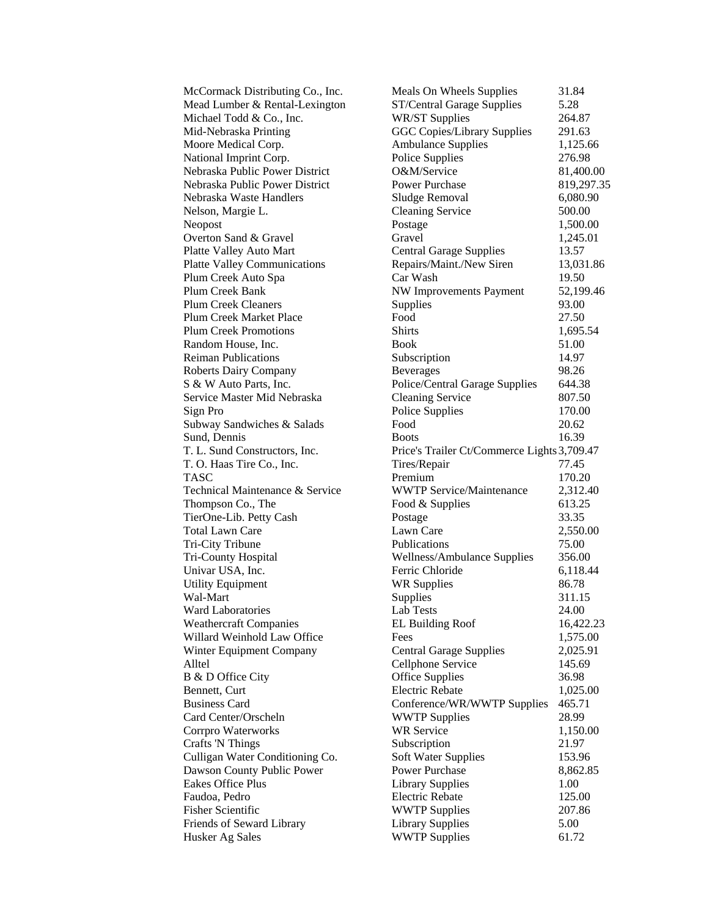| McCormack Distributing Co., Inc.    | Meals On Wheels Supplies                    | 31.84      |
|-------------------------------------|---------------------------------------------|------------|
| Mead Lumber & Rental-Lexington      | ST/Central Garage Supplies                  | 5.28       |
| Michael Todd & Co., Inc.            | <b>WR/ST Supplies</b>                       | 264.87     |
| Mid-Nebraska Printing               | <b>GGC Copies/Library Supplies</b>          | 291.63     |
| Moore Medical Corp.                 | <b>Ambulance Supplies</b>                   | 1,125.66   |
| National Imprint Corp.              | <b>Police Supplies</b>                      | 276.98     |
| Nebraska Public Power District      | O&M/Service                                 | 81,400.00  |
| Nebraska Public Power District      | <b>Power Purchase</b>                       | 819,297.35 |
| Nebraska Waste Handlers             | Sludge Removal                              | 6,080.90   |
| Nelson, Margie L.                   | <b>Cleaning Service</b>                     | 500.00     |
| Neopost                             | Postage                                     | 1,500.00   |
| Overton Sand & Gravel               | Gravel                                      | 1,245.01   |
| Platte Valley Auto Mart             | <b>Central Garage Supplies</b>              | 13.57      |
| <b>Platte Valley Communications</b> | Repairs/Maint./New Siren                    | 13,031.86  |
| Plum Creek Auto Spa                 | Car Wash                                    | 19.50      |
| Plum Creek Bank                     | NW Improvements Payment                     | 52,199.46  |
| <b>Plum Creek Cleaners</b>          | Supplies                                    | 93.00      |
| Plum Creek Market Place             | Food                                        | 27.50      |
| <b>Plum Creek Promotions</b>        | <b>Shirts</b>                               | 1,695.54   |
| Random House, Inc.                  | <b>Book</b>                                 | 51.00      |
| <b>Reiman Publications</b>          | Subscription                                | 14.97      |
| <b>Roberts Dairy Company</b>        | <b>Beverages</b>                            | 98.26      |
| S & W Auto Parts, Inc.              | <b>Police/Central Garage Supplies</b>       | 644.38     |
| Service Master Mid Nebraska         | <b>Cleaning Service</b>                     | 807.50     |
| Sign Pro                            | Police Supplies                             | 170.00     |
| Subway Sandwiches & Salads          | Food                                        | 20.62      |
| Sund, Dennis                        | <b>Boots</b>                                | 16.39      |
| T. L. Sund Constructors, Inc.       | Price's Trailer Ct/Commerce Lights 3,709.47 |            |
| T. O. Haas Tire Co., Inc.           | Tires/Repair                                | 77.45      |
| TASC                                | Premium                                     | 170.20     |
| Technical Maintenance & Service     | <b>WWTP Service/Maintenance</b>             | 2,312.40   |
| Thompson Co., The                   | Food & Supplies                             | 613.25     |
| TierOne-Lib. Petty Cash             | Postage                                     | 33.35      |
| Total Lawn Care                     | Lawn Care                                   | 2,550.00   |
| Tri-City Tribune                    | Publications                                | 75.00      |
| Tri-County Hospital                 | Wellness/Ambulance Supplies                 | 356.00     |
| Univar USA, Inc.                    | Ferric Chloride                             | 6,118.44   |
| <b>Utility Equipment</b>            | <b>WR Supplies</b>                          | 86.78      |
| Wal-Mart                            | Supplies                                    | 311.15     |
| <b>Ward Laboratories</b>            | Lab Tests                                   | 24.00      |
| <b>Weathercraft Companies</b>       | EL Building Roof                            | 16,422.23  |
| Willard Weinhold Law Office         | Fees                                        | 1,575.00   |
| Winter Equipment Company            | <b>Central Garage Supplies</b>              | 2,025.91   |
| Alltel                              | Cellphone Service                           | 145.69     |
| B & D Office City                   | <b>Office Supplies</b>                      | 36.98      |
| Bennett, Curt                       | <b>Electric Rebate</b>                      | 1,025.00   |
| <b>Business Card</b>                | Conference/WR/WWTP Supplies                 | 465.71     |
| Card Center/Orscheln                | <b>WWTP Supplies</b>                        | 28.99      |
| Corrpro Waterworks                  | <b>WR Service</b>                           | 1,150.00   |
| Crafts 'N Things                    | Subscription                                | 21.97      |
| Culligan Water Conditioning Co.     | <b>Soft Water Supplies</b>                  | 153.96     |
| Dawson County Public Power          | Power Purchase                              | 8,862.85   |
| Eakes Office Plus                   | <b>Library Supplies</b>                     | 1.00       |
| Faudoa, Pedro                       | Electric Rebate                             | 125.00     |
| Fisher Scientific                   | <b>WWTP Supplies</b>                        | 207.86     |
| Friends of Seward Library           | <b>Library Supplies</b>                     | 5.00       |
| Husker Ag Sales                     | <b>WWTP Supplies</b>                        | 61.72      |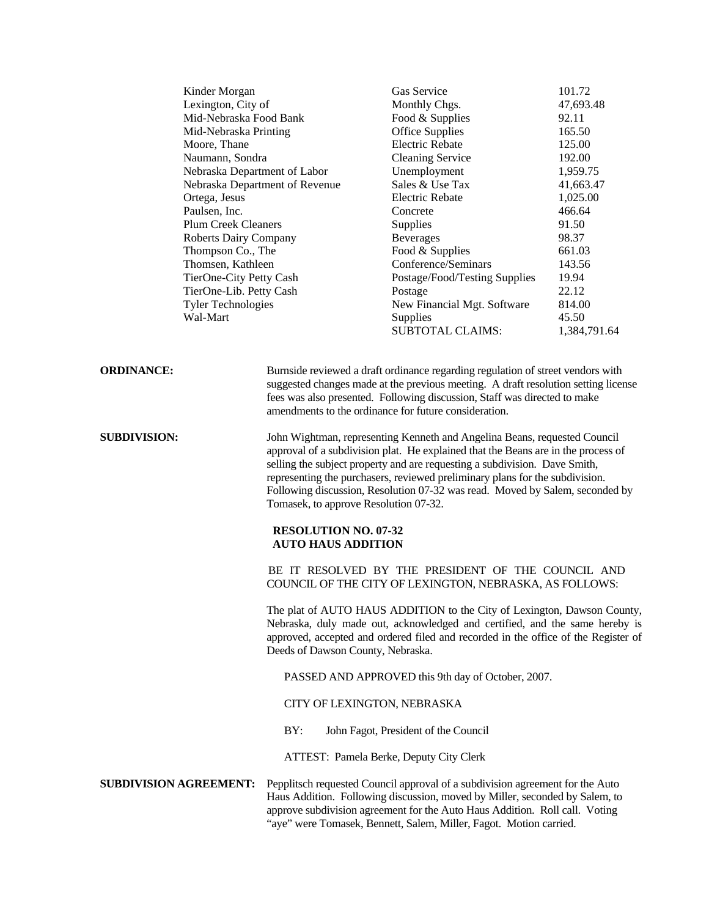| Kinder Morgan                  | <b>Gas Service</b>            | 101.72       |
|--------------------------------|-------------------------------|--------------|
| Lexington, City of             | Monthly Chgs.                 | 47,693.48    |
| Mid-Nebraska Food Bank         | Food & Supplies               | 92.11        |
| Mid-Nebraska Printing          | <b>Office Supplies</b>        | 165.50       |
| Moore, Thane                   | Electric Rebate               | 125.00       |
| Naumann, Sondra                | <b>Cleaning Service</b>       | 192.00       |
| Nebraska Department of Labor   | Unemployment                  | 1,959.75     |
| Nebraska Department of Revenue | Sales & Use Tax               | 41,663.47    |
| Ortega, Jesus                  | <b>Electric Rebate</b>        | 1,025.00     |
| Paulsen, Inc.                  | Concrete                      | 466.64       |
| <b>Plum Creek Cleaners</b>     | Supplies                      | 91.50        |
| Roberts Dairy Company          | <b>Beverages</b>              | 98.37        |
| Thompson Co., The              | Food & Supplies               | 661.03       |
| Thomsen, Kathleen              | Conference/Seminars           | 143.56       |
| TierOne-City Petty Cash        | Postage/Food/Testing Supplies | 19.94        |
| TierOne-Lib. Petty Cash        | Postage                       | 22.12        |
| <b>Tyler Technologies</b>      | New Financial Mgt. Software   | 814.00       |
| Wal-Mart                       | Supplies                      | 45.50        |
|                                | <b>SUBTOTAL CLAIMS:</b>       | 1,384,791.64 |
|                                |                               |              |

**ORDINANCE:** Burnside reviewed a draft ordinance regarding regulation of street vendors with suggested changes made at the previous meeting. A draft resolution setting license fees was also presented. Following discussion, Staff was directed to make amendments to the ordinance for future consideration.

**SUBDIVISION:** John Wightman, representing Kenneth and Angelina Beans, requested Council approval of a subdivision plat. He explained that the Beans are in the process of selling the subject property and are requesting a subdivision. Dave Smith, representing the purchasers, reviewed preliminary plans for the subdivision. Following discussion, Resolution 07-32 was read. Moved by Salem, seconded by Tomasek, to approve Resolution 07-32.

## **RESOLUTION NO. 07-32 AUTO HAUS ADDITION**

 BE IT RESOLVED BY THE PRESIDENT OF THE COUNCIL AND COUNCIL OF THE CITY OF LEXINGTON, NEBRASKA, AS FOLLOWS:

The plat of AUTO HAUS ADDITION to the City of Lexington, Dawson County, Nebraska, duly made out, acknowledged and certified, and the same hereby is approved, accepted and ordered filed and recorded in the office of the Register of Deeds of Dawson County, Nebraska.

PASSED AND APPROVED this 9th day of October, 2007.

CITY OF LEXINGTON, NEBRASKA

BY: John Fagot, President of the Council

ATTEST: Pamela Berke, Deputy City Clerk

**SUBDIVISION AGREEMENT:** Pepplitsch requested Council approval of a subdivision agreement for the Auto Haus Addition. Following discussion, moved by Miller, seconded by Salem, to approve subdivision agreement for the Auto Haus Addition. Roll call. Voting "aye" were Tomasek, Bennett, Salem, Miller, Fagot. Motion carried.